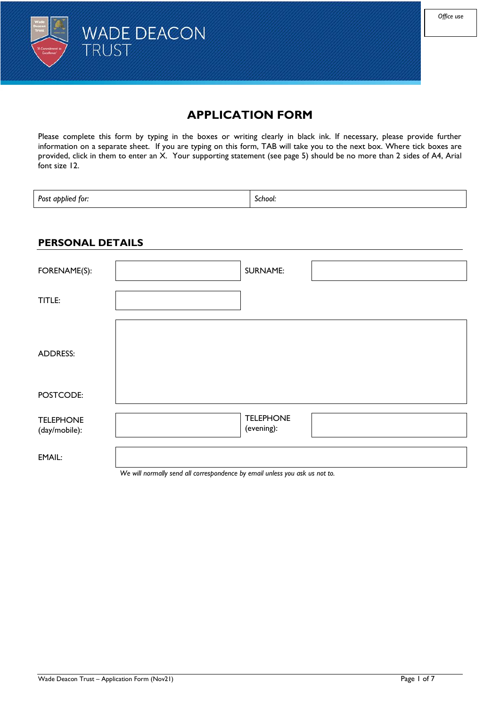

# **APPLICATION FORM**

Please complete this form by typing in the boxes or writing clearly in black ink. If necessary, please provide further information on a separate sheet. If you are typing on this form, TAB will take you to the next box. Where tick boxes are provided, click in them to enter an X. Your supporting statement (see page 5) should be no more than 2 sides of A4, Arial font size 12.

Post applied for: *School:* **School:** 

#### **PERSONAL DETAILS**

| FORENAME(S):                      |                                                                                                                                                                                                                                   | <b>SURNAME:</b>                |  |
|-----------------------------------|-----------------------------------------------------------------------------------------------------------------------------------------------------------------------------------------------------------------------------------|--------------------------------|--|
| TITLE:                            |                                                                                                                                                                                                                                   |                                |  |
| <b>ADDRESS:</b>                   |                                                                                                                                                                                                                                   |                                |  |
| POSTCODE:                         |                                                                                                                                                                                                                                   |                                |  |
| <b>TELEPHONE</b><br>(day/mobile): |                                                                                                                                                                                                                                   | <b>TELEPHONE</b><br>(evening): |  |
| EMAIL:                            | $\mathbf{v}$ , and the contract of the contract of the contract of the contract of the contract of the contract of the contract of the contract of the contract of the contract of the contract of the contract of the contract o | $\overline{\phantom{a}}$       |  |

*We will normally send all correspondence by email unless you ask us not to.*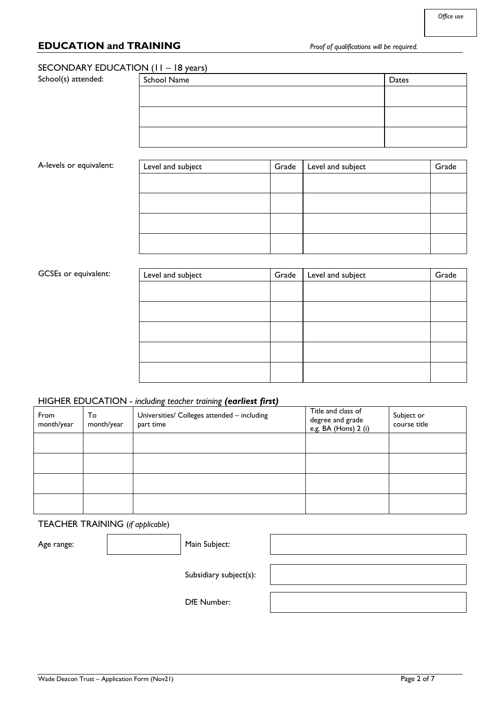## **EDUCATION and TRAINING** *Proof of qualifications will be required.*

#### SECONDARY EDUCATION (11 – 18 years)

School(s) attended:

| School Name | Dates |
|-------------|-------|
|             |       |
|             |       |
|             |       |
|             |       |
|             |       |

#### A-levels or equivalent:

| Level and subject | Grade $\parallel$ Level and subject | Grade |
|-------------------|-------------------------------------|-------|
|                   |                                     |       |
|                   |                                     |       |
|                   |                                     |       |
|                   |                                     |       |

#### GCSEs or equivalent:

| Level and subject | Grade $\parallel$ Level and subject | Grade |
|-------------------|-------------------------------------|-------|
|                   |                                     |       |
|                   |                                     |       |
|                   |                                     |       |
|                   |                                     |       |
|                   |                                     |       |

#### HIGHER EDUCATION - *including teacher training (earliest first)*

| From<br>month/year | To<br>month/year | Universities/ Colleges attended - including<br>part time | Title and class of<br>degree and grade<br>e.g. BA (Hons) 2 (i) | Subject or<br>course title |
|--------------------|------------------|----------------------------------------------------------|----------------------------------------------------------------|----------------------------|
|                    |                  |                                                          |                                                                |                            |
|                    |                  |                                                          |                                                                |                            |
|                    |                  |                                                          |                                                                |                            |
|                    |                  |                                                          |                                                                |                            |

# TEACHER TRAINING (*if applicable*)

| Age range: | Main Subject:          |  |
|------------|------------------------|--|
|            | Subsidiary subject(s): |  |
|            | <b>DfE</b> Number:     |  |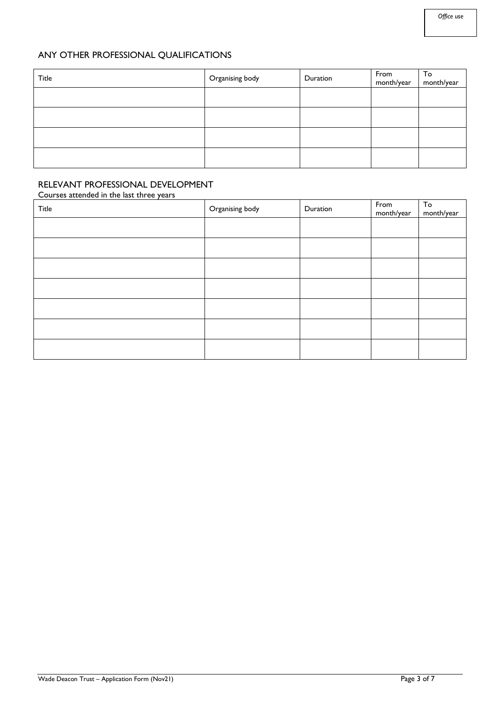## ANY OTHER PROFESSIONAL QUALIFICATIONS

| <b>Title</b> | Organising body | Duration | From<br>month/year | To<br>month/year |
|--------------|-----------------|----------|--------------------|------------------|
|              |                 |          |                    |                  |
|              |                 |          |                    |                  |
|              |                 |          |                    |                  |
|              |                 |          |                    |                  |

# RELEVANT PROFESSIONAL DEVELOPMENT

#### Courses attended in the last three years

| Title | Organising body | Duration | From<br>month/year | To<br>month/year |
|-------|-----------------|----------|--------------------|------------------|
|       |                 |          |                    |                  |
|       |                 |          |                    |                  |
|       |                 |          |                    |                  |
|       |                 |          |                    |                  |
|       |                 |          |                    |                  |
|       |                 |          |                    |                  |
|       |                 |          |                    |                  |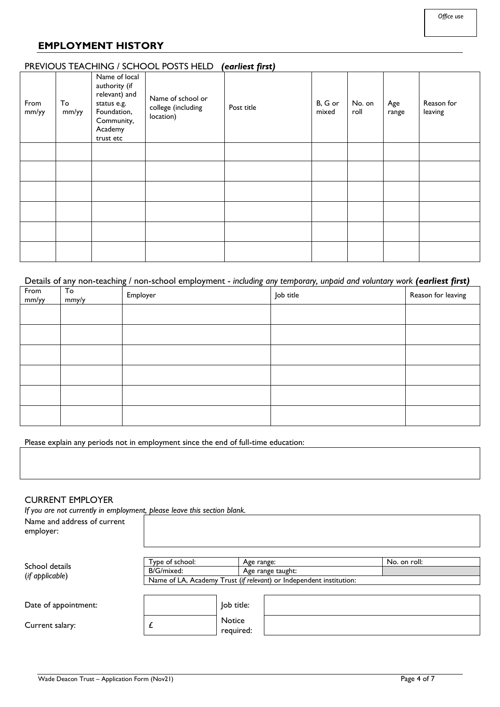## **EMPLOYMENT HISTORY**

#### PREVIOUS TEACHING / SCHOOL POSTS HELD *(earliest first)*

| From<br>mm/yy | To<br>mm/yy | Name of local<br>authority (if<br>relevant) and<br>status e.g.<br>Foundation,<br>Community,<br>Academy<br>trust etc | Name of school or<br>college (including<br>location) | Post title | B, G or<br>mixed | No. on<br>roll | Age<br>range | Reason for<br>leaving |
|---------------|-------------|---------------------------------------------------------------------------------------------------------------------|------------------------------------------------------|------------|------------------|----------------|--------------|-----------------------|
|               |             |                                                                                                                     |                                                      |            |                  |                |              |                       |
|               |             |                                                                                                                     |                                                      |            |                  |                |              |                       |
|               |             |                                                                                                                     |                                                      |            |                  |                |              |                       |
|               |             |                                                                                                                     |                                                      |            |                  |                |              |                       |
|               |             |                                                                                                                     |                                                      |            |                  |                |              |                       |
|               |             |                                                                                                                     |                                                      |            |                  |                |              |                       |

#### Details of any non-teaching / non-school employment - *including any temporary, unpaid and voluntary work (earliest first)*

| From<br>mm/yy | To<br>mmy/y | Employer | Job title | Reason for leaving |
|---------------|-------------|----------|-----------|--------------------|
|               |             |          |           |                    |
|               |             |          |           |                    |
|               |             |          |           |                    |
|               |             |          |           |                    |
|               |             |          |           |                    |
|               |             |          |           |                    |

Please explain any periods not in employment since the end of full-time education:

#### CURRENT EMPLOYER

*If you are not currently in employment, please leave this section blank.*

| Name and address of current<br>employer: |                                                                     |                            |                   |              |
|------------------------------------------|---------------------------------------------------------------------|----------------------------|-------------------|--------------|
| School details                           | Type of school:                                                     |                            | Age range:        | No. on roll: |
|                                          | B/G/mixed:                                                          |                            | Age range taught: |              |
| (if applicable)                          | Name of LA, Academy Trust (if relevant) or Independent institution: |                            |                   |              |
| Date of appointment:                     |                                                                     | Job title:                 |                   |              |
| Current salary:                          |                                                                     | <b>Notice</b><br>required: |                   |              |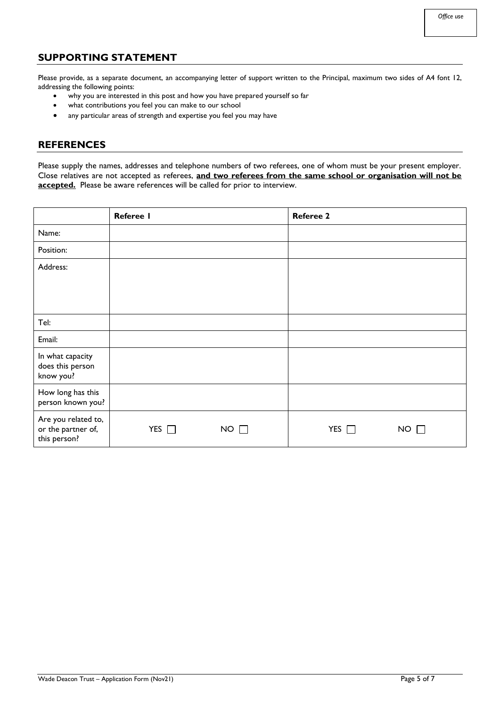## **SUPPORTING STATEMENT**

Please provide, as a separate document, an accompanying letter of support written to the Principal, maximum two sides of A4 font 12, addressing the following points:

- why you are interested in this post and how you have prepared yourself so far
- what contributions you feel you can make to our school
- any particular areas of strength and expertise you feel you may have

### **REFERENCES**

Please supply the names, addresses and telephone numbers of two referees, one of whom must be your present employer. Close relatives are not accepted as referees, **and two referees from the same school or organisation will not be accepted.** Please be aware references will be called for prior to interview.

|                                                           | Referee I  |             | <b>Referee 2</b> |             |
|-----------------------------------------------------------|------------|-------------|------------------|-------------|
| Name:                                                     |            |             |                  |             |
| Position:                                                 |            |             |                  |             |
| Address:                                                  |            |             |                  |             |
|                                                           |            |             |                  |             |
| Tel:                                                      |            |             |                  |             |
| Email:                                                    |            |             |                  |             |
| In what capacity<br>does this person<br>know you?         |            |             |                  |             |
| How long has this<br>person known you?                    |            |             |                  |             |
| Are you related to,<br>or the partner of,<br>this person? | YES $\Box$ | $NO$ $\Box$ | YES $\Box$       | $NO \Gamma$ |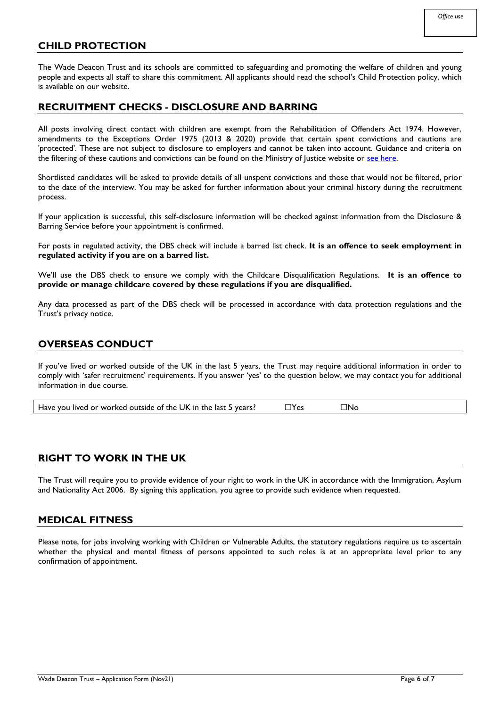## **CHILD PROTECTION**

The Wade Deacon Trust and its schools are committed to safeguarding and promoting the welfare of children and young people and expects all staff to share this commitment. All applicants should read the school's Child Protection policy, which is available on our website.

#### **RECRUITMENT CHECKS - DISCLOSURE AND BARRING**

All posts involving direct contact with children are exempt from the Rehabilitation of Offenders Act 1974. However, amendments to the Exceptions Order 1975 (2013 & 2020) provide that certain spent convictions and cautions are 'protected'. These are not subject to disclosure to employers and cannot be taken into account. Guidance and criteria on the filtering of these cautions and convictions can be found on the Ministry of Justice website or [see here.](http://hub.unlock.org.uk/wp-content/uploads/What-will-be-filtered-by-the-DBS.pdf)

Shortlisted candidates will be asked to provide details of all unspent convictions and those that would not be filtered, prior to the date of the interview. You may be asked for further information about your criminal history during the recruitment process.

If your application is successful, this self-disclosure information will be checked against information from the Disclosure & Barring Service before your appointment is confirmed.

For posts in regulated activity, the DBS check will include a barred list check. **It is an offence to seek employment in regulated activity if you are on a barred list.**

We'll use the DBS check to ensure we comply with the Childcare Disqualification Regulations. **It is an offence to provide or manage childcare covered by these regulations if you are disqualified.**

Any data processed as part of the DBS check will be processed in accordance with data protection regulations and the Trust's privacy notice.

## **OVERSEAS CONDUCT**

If you've lived or worked outside of the UK in the last 5 years, the Trust may require additional information in order to comply with 'safer recruitment' requirements. If you answer 'yes' to the question below, we may contact you for additional information in due course.

Have you lived or worked outside of the UK in the last 5 years?  $\square$  Yes  $\square$  No

## **RIGHT TO WORK IN THE UK**

The Trust will require you to provide evidence of your right to work in the UK in accordance with the Immigration, Asylum and Nationality Act 2006. By signing this application, you agree to provide such evidence when requested.

#### **MEDICAL FITNESS**

Please note, for jobs involving working with Children or Vulnerable Adults, the statutory regulations require us to ascertain whether the physical and mental fitness of persons appointed to such roles is at an appropriate level prior to any confirmation of appointment.